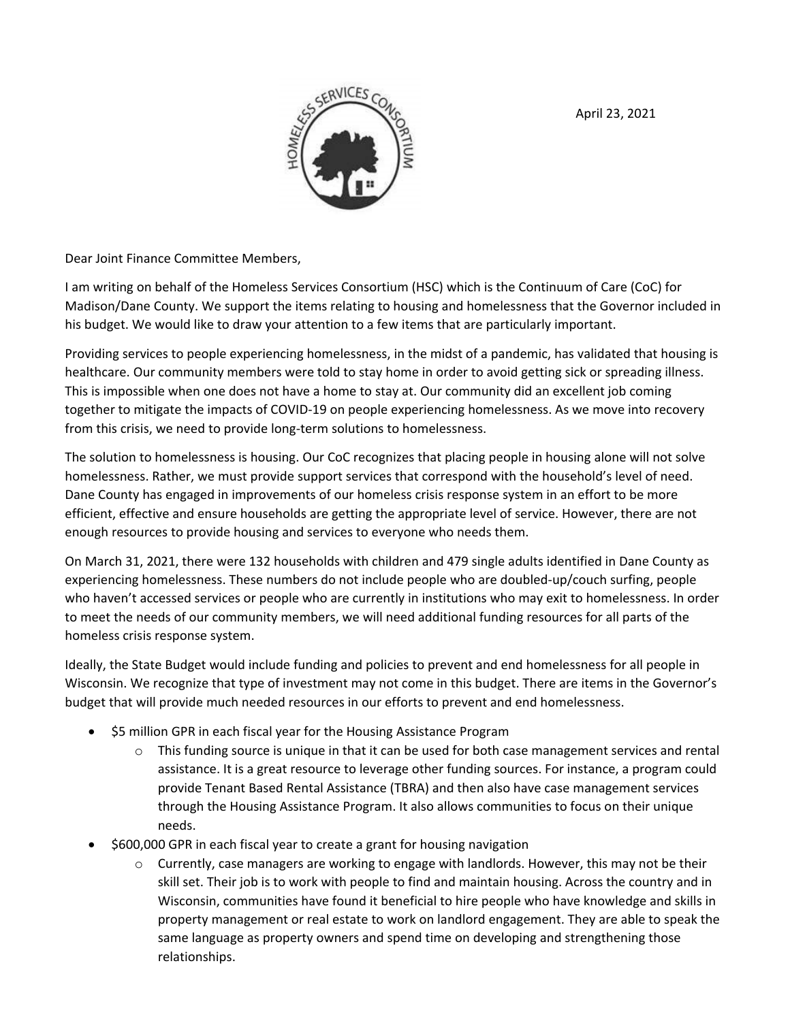April 23, 2021



Dear Joint Finance Committee Members,

I am writing on behalf of the Homeless Services Consortium (HSC) which is the Continuum of Care (CoC) for Madison/Dane County. We support the items relating to housing and homelessness that the Governor included in his budget. We would like to draw your attention to a few items that are particularly important.

Providing services to people experiencing homelessness, in the midst of a pandemic, has validated that housing is healthcare. Our community members were told to stay home in order to avoid getting sick or spreading illness. This is impossible when one does not have a home to stay at. Our community did an excellent job coming together to mitigate the impacts of COVID‐19 on people experiencing homelessness. As we move into recovery from this crisis, we need to provide long-term solutions to homelessness.

The solution to homelessness is housing. Our CoC recognizes that placing people in housing alone will not solve homelessness. Rather, we must provide support services that correspond with the household's level of need. Dane County has engaged in improvements of our homeless crisis response system in an effort to be more efficient, effective and ensure households are getting the appropriate level of service. However, there are not enough resources to provide housing and services to everyone who needs them.

On March 31, 2021, there were 132 households with children and 479 single adults identified in Dane County as experiencing homelessness. These numbers do not include people who are doubled‐up/couch surfing, people who haven't accessed services or people who are currently in institutions who may exit to homelessness. In order to meet the needs of our community members, we will need additional funding resources for all parts of the homeless crisis response system.

Ideally, the State Budget would include funding and policies to prevent and end homelessness for all people in Wisconsin. We recognize that type of investment may not come in this budget. There are items in the Governor's budget that will provide much needed resources in our efforts to prevent and end homelessness.

- \$5 million GPR in each fiscal year for the Housing Assistance Program
	- $\circ$  This funding source is unique in that it can be used for both case management services and rental assistance. It is a great resource to leverage other funding sources. For instance, a program could provide Tenant Based Rental Assistance (TBRA) and then also have case management services through the Housing Assistance Program. It also allows communities to focus on their unique needs.
- \$600,000 GPR in each fiscal year to create a grant for housing navigation
	- $\circ$  Currently, case managers are working to engage with landlords. However, this may not be their skill set. Their job is to work with people to find and maintain housing. Across the country and in Wisconsin, communities have found it beneficial to hire people who have knowledge and skills in property management or real estate to work on landlord engagement. They are able to speak the same language as property owners and spend time on developing and strengthening those relationships.